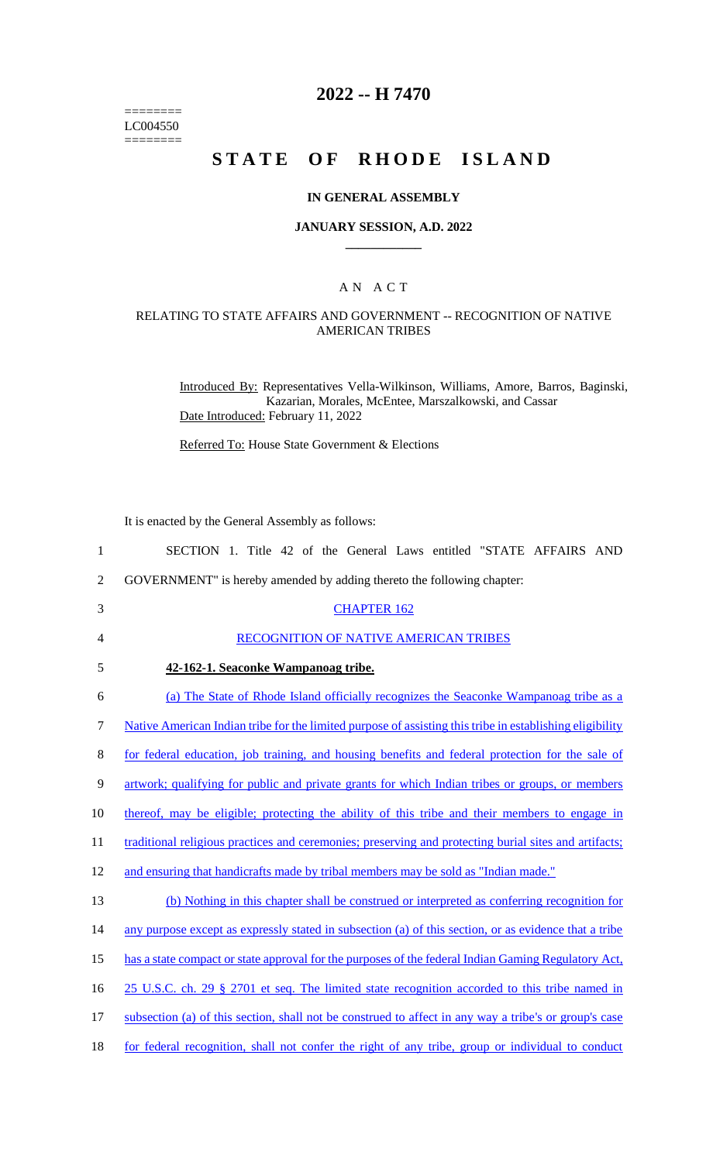======== LC004550  $=$ 

## **2022 -- H 7470**

# **STATE OF RHODE ISLAND**

#### **IN GENERAL ASSEMBLY**

#### **JANUARY SESSION, A.D. 2022 \_\_\_\_\_\_\_\_\_\_\_\_**

### A N A C T

### RELATING TO STATE AFFAIRS AND GOVERNMENT -- RECOGNITION OF NATIVE AMERICAN TRIBES

Introduced By: Representatives Vella-Wilkinson, Williams, Amore, Barros, Baginski, Kazarian, Morales, McEntee, Marszalkowski, and Cassar Date Introduced: February 11, 2022

Referred To: House State Government & Elections

It is enacted by the General Assembly as follows:

| $\mathbf{1}$   | SECTION 1. Title 42 of the General Laws entitled "STATE AFFAIRS AND                                      |
|----------------|----------------------------------------------------------------------------------------------------------|
| $\overline{2}$ | GOVERNMENT" is hereby amended by adding thereto the following chapter:                                   |
| 3              | <b>CHAPTER 162</b>                                                                                       |
| 4              | RECOGNITION OF NATIVE AMERICAN TRIBES                                                                    |
| 5              | 42-162-1. Seaconke Wampanoag tribe.                                                                      |
| 6              | (a) The State of Rhode Island officially recognizes the Seaconke Wampanoag tribe as a                    |
| $\tau$         | Native American Indian tribe for the limited purpose of assisting this tribe in establishing eligibility |
| $8\,$          | for federal education, job training, and housing benefits and federal protection for the sale of         |
| $\mathbf{9}$   | artwork; qualifying for public and private grants for which Indian tribes or groups, or members          |
| 10             | thereof, may be eligible; protecting the ability of this tribe and their members to engage in            |
| 11             | traditional religious practices and ceremonies; preserving and protecting burial sites and artifacts;    |
| 12             | and ensuring that handicrafts made by tribal members may be sold as "Indian made."                       |
| 13             | (b) Nothing in this chapter shall be construed or interpreted as conferring recognition for              |
| 14             | any purpose except as expressly stated in subsection (a) of this section, or as evidence that a tribe    |
| 15             | has a state compact or state approval for the purposes of the federal Indian Gaming Regulatory Act,      |
| 16             | 25 U.S.C. ch. 29 § 2701 et seq. The limited state recognition accorded to this tribe named in            |
| 17             | subsection (a) of this section, shall not be construed to affect in any way a tribe's or group's case    |
| 18             | for federal recognition, shall not confer the right of any tribe, group or individual to conduct         |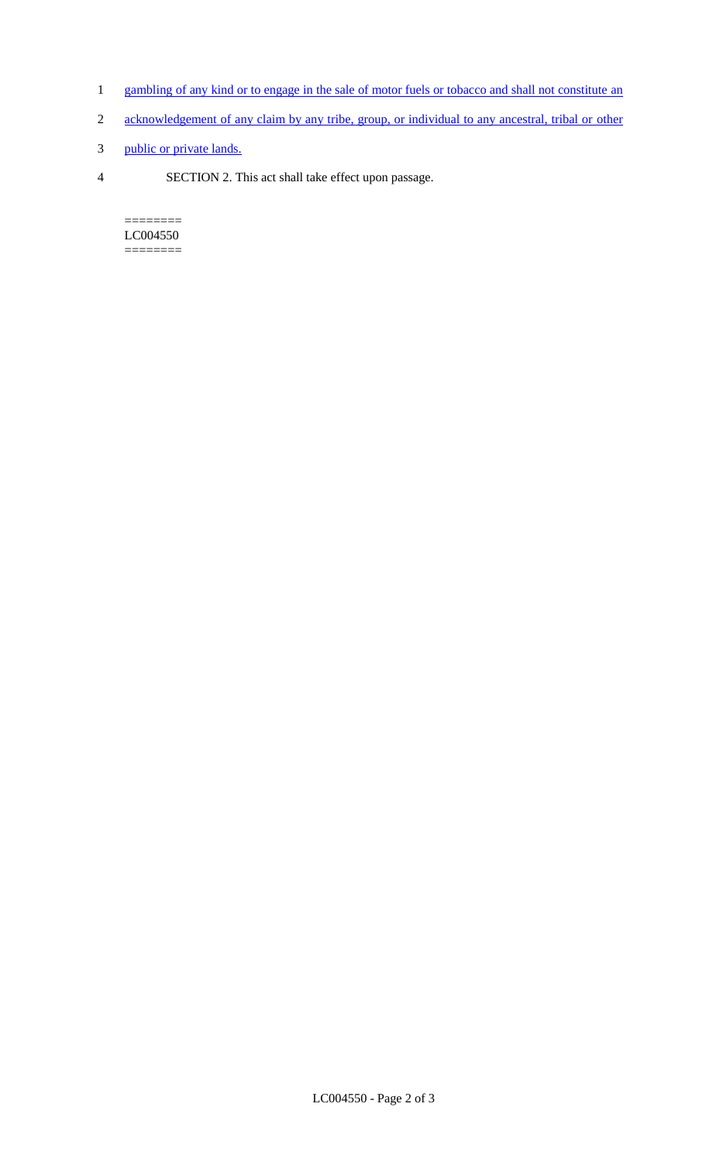- 1 gambling of any kind or to engage in the sale of motor fuels or tobacco and shall not constitute an
- 2 acknowledgement of any claim by any tribe, group, or individual to any ancestral, tribal or other
- 3 public or private lands.
- 4 SECTION 2. This act shall take effect upon passage.

======== LC004550  $=$